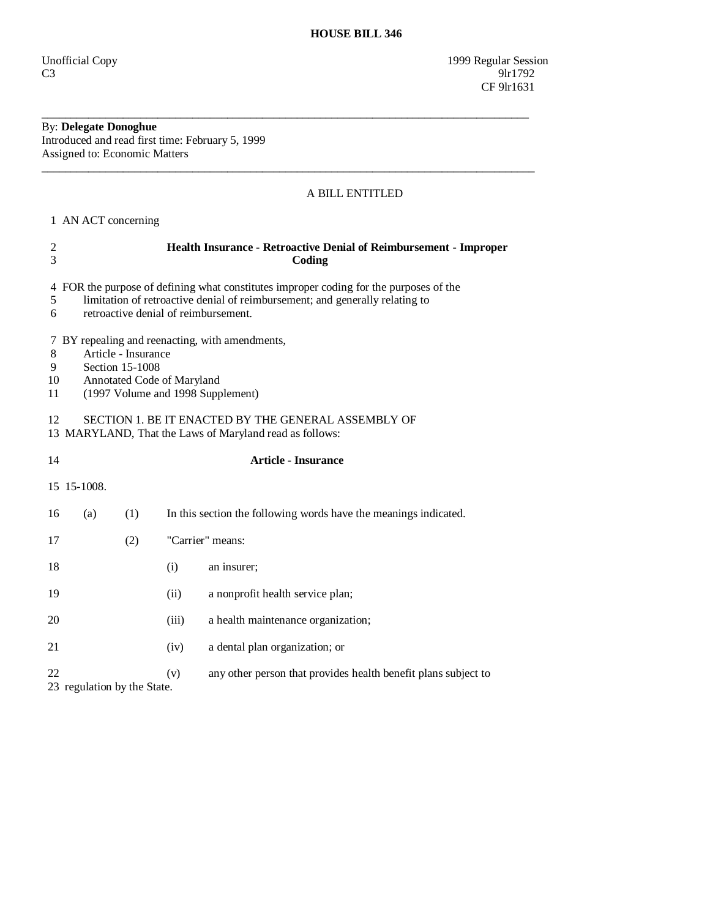Unofficial Copy 1999 Regular Session  $C3$  9lr1792 CF 9lr1631

## By: **Delegate Donoghue**

Introduced and read first time: February 5, 1999 Assigned to: Economic Matters

## A BILL ENTITLED

1 AN ACT concerning

| $\boldsymbol{2}$<br>3                                                                                                | Health Insurance - Retroactive Denial of Reimbursement - Improper<br>Coding                                                                                                                                    |     |                  |                                                                  |  |
|----------------------------------------------------------------------------------------------------------------------|----------------------------------------------------------------------------------------------------------------------------------------------------------------------------------------------------------------|-----|------------------|------------------------------------------------------------------|--|
| 5<br>6                                                                                                               | 4 FOR the purpose of defining what constitutes improper coding for the purposes of the<br>limitation of retroactive denial of reimbursement; and generally relating to<br>retroactive denial of reimbursement. |     |                  |                                                                  |  |
| 8<br>9<br>10<br>11                                                                                                   | 7 BY repealing and reenacting, with amendments,<br>Article - Insurance<br>Section 15-1008<br>Annotated Code of Maryland<br>(1997 Volume and 1998 Supplement)                                                   |     |                  |                                                                  |  |
| SECTION 1. BE IT ENACTED BY THE GENERAL ASSEMBLY OF<br>12<br>13 MARYLAND, That the Laws of Maryland read as follows: |                                                                                                                                                                                                                |     |                  |                                                                  |  |
| 14                                                                                                                   | <b>Article - Insurance</b>                                                                                                                                                                                     |     |                  |                                                                  |  |
|                                                                                                                      | 15 15-1008.                                                                                                                                                                                                    |     |                  |                                                                  |  |
| 16                                                                                                                   | (a)                                                                                                                                                                                                            | (1) |                  | In this section the following words have the meanings indicated. |  |
| 17                                                                                                                   |                                                                                                                                                                                                                | (2) | "Carrier" means: |                                                                  |  |
| 18                                                                                                                   |                                                                                                                                                                                                                |     | (i)              | an insurer;                                                      |  |
| 19                                                                                                                   |                                                                                                                                                                                                                |     | (ii)             | a nonprofit health service plan;                                 |  |
| 20                                                                                                                   |                                                                                                                                                                                                                |     | (iii)            | a health maintenance organization;                               |  |
| 21                                                                                                                   |                                                                                                                                                                                                                |     | (iv)             | a dental plan organization; or                                   |  |
| 22                                                                                                                   | 23 regulation by the State.                                                                                                                                                                                    |     | (v)              | any other person that provides health benefit plans subject to   |  |

\_\_\_\_\_\_\_\_\_\_\_\_\_\_\_\_\_\_\_\_\_\_\_\_\_\_\_\_\_\_\_\_\_\_\_\_\_\_\_\_\_\_\_\_\_\_\_\_\_\_\_\_\_\_\_\_\_\_\_\_\_\_\_\_\_\_\_\_\_\_\_\_\_\_\_\_\_\_\_\_\_\_\_\_

 $\overline{\phantom{a}}$  ,  $\overline{\phantom{a}}$  ,  $\overline{\phantom{a}}$  ,  $\overline{\phantom{a}}$  ,  $\overline{\phantom{a}}$  ,  $\overline{\phantom{a}}$  ,  $\overline{\phantom{a}}$  ,  $\overline{\phantom{a}}$  ,  $\overline{\phantom{a}}$  ,  $\overline{\phantom{a}}$  ,  $\overline{\phantom{a}}$  ,  $\overline{\phantom{a}}$  ,  $\overline{\phantom{a}}$  ,  $\overline{\phantom{a}}$  ,  $\overline{\phantom{a}}$  ,  $\overline{\phantom{a}}$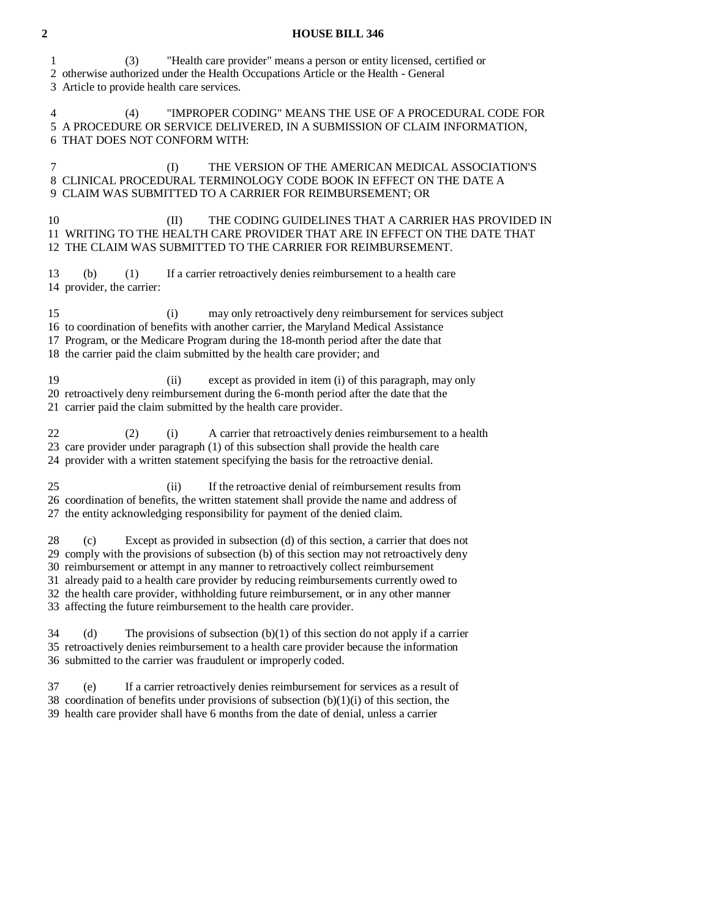## **2 HOUSE BILL 346**

 1 (3) "Health care provider" means a person or entity licensed, certified or 2 otherwise authorized under the Health Occupations Article or the Health - General

3 Article to provide health care services.

 4 (4) "IMPROPER CODING" MEANS THE USE OF A PROCEDURAL CODE FOR 5 A PROCEDURE OR SERVICE DELIVERED, IN A SUBMISSION OF CLAIM INFORMATION, 6 THAT DOES NOT CONFORM WITH:

 7 (I) THE VERSION OF THE AMERICAN MEDICAL ASSOCIATION'S 8 CLINICAL PROCEDURAL TERMINOLOGY CODE BOOK IN EFFECT ON THE DATE A 9 CLAIM WAS SUBMITTED TO A CARRIER FOR REIMBURSEMENT; OR

10 (II) THE CODING GUIDELINES THAT A CARRIER HAS PROVIDED IN 11 WRITING TO THE HEALTH CARE PROVIDER THAT ARE IN EFFECT ON THE DATE THAT 12 THE CLAIM WAS SUBMITTED TO THE CARRIER FOR REIMBURSEMENT.

 13 (b) (1) If a carrier retroactively denies reimbursement to a health care 14 provider, the carrier:

 15 (i) may only retroactively deny reimbursement for services subject 16 to coordination of benefits with another carrier, the Maryland Medical Assistance 17 Program, or the Medicare Program during the 18-month period after the date that 18 the carrier paid the claim submitted by the health care provider; and

 19 (ii) except as provided in item (i) of this paragraph, may only 20 retroactively deny reimbursement during the 6-month period after the date that the

21 carrier paid the claim submitted by the health care provider.

22 (2) (i) A carrier that retroactively denies reimbursement to a health 23 care provider under paragraph (1) of this subsection shall provide the health care 24 provider with a written statement specifying the basis for the retroactive denial.

 25 (ii) If the retroactive denial of reimbursement results from 26 coordination of benefits, the written statement shall provide the name and address of 27 the entity acknowledging responsibility for payment of the denied claim.

 28 (c) Except as provided in subsection (d) of this section, a carrier that does not 29 comply with the provisions of subsection (b) of this section may not retroactively deny 30 reimbursement or attempt in any manner to retroactively collect reimbursement 31 already paid to a health care provider by reducing reimbursements currently owed to 32 the health care provider, withholding future reimbursement, or in any other manner 33 affecting the future reimbursement to the health care provider.

 $34$  (d) The provisions of subsection (b)(1) of this section do not apply if a carrier 35 retroactively denies reimbursement to a health care provider because the information 36 submitted to the carrier was fraudulent or improperly coded.

 37 (e) If a carrier retroactively denies reimbursement for services as a result of 38 coordination of benefits under provisions of subsection  $(b)(1)(i)$  of this section, the 39 health care provider shall have 6 months from the date of denial, unless a carrier